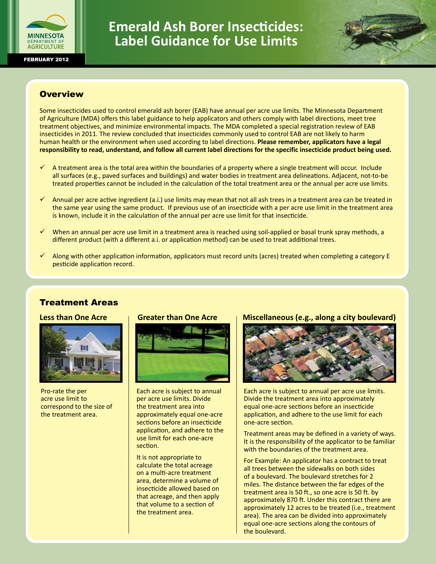

**Emerald Ash Borer Insecticides: Label Guidance for Use Limits**



## **Overview**

Some insecticides used to control emerald ash borer (EAB) have annual per acre use limits. The Minnesota Department of Agriculture (MDA) offers this label guidance to help applicators and others comply with label directions, meet tree treatment objectives, and minimize environmental impacts. The MDA completed a special registration review of EAB insecticides in 2011. The review concluded that insecticides commonly used to control EAB are not likely to harm human health or the environment when used according to label directions. **Please remember, applicators have a legal responsibility to read, understand, and follow all current label directions for the specific insecticide product being used.**

- ü A treatment area is the total area within the boundaries of a property where a single treatment will occur. Include all surfaces (e.g., paved surfaces and buildings) and water bodies in treatment area delineations. Adjacent, not-to-be treated properties cannot be included in the calculation of the total treatment area or the annual per acre use limits.
- Annual per acre active ingredient (a.i.) use limits may mean that not all ash trees in a treatment area can be treated in the same year using the same product. If previous use of an insecticide with a per acre use limit in the treatment area is known, include it in the calculation of the annual per acre use limit for that insecticide.
- $\checkmark$  When an annual per acre use limit in a treatment area is reached using soil-applied or basal trunk spray methods, a different product (with a different a.i. or application method) can be used to treat additional trees.
- $\checkmark$  Along with other application information, applicators must record units (acres) treated when completing a category E pesticide application record.

# Treatment Areas

#### **Less than One Acre**



Pro-rate the per acre use limit to correspond to the size of the treatment area.

#### **Greater than One Acre**



Each acre is subject to annual per acre use limits. Divide the treatment area into approximately equal one-acre sections before an insecticide application, and adhere to the use limit for each one-acre section.

It is not appropriate to calculate the total acreage on a multi-acre treatment area, determine a volume of insecticide allowed based on that acreage, and then apply that volume to a section of the treatment area.

#### **Miscellaneous (e.g., along a city boulevard)**



Each acre is subject to annual per acre use limits. Divide the treatment area into approximately equal one-acre sections before an insecticide application, and adhere to the use limit for each one-acre section.

Treatment areas may be defined in a variety of ways. It is the responsibility of the applicator to be familiar with the boundaries of the treatment area.

For Example: An applicator has a contract to treat all trees between the sidewalks on both sides of a boulevard. The boulevard stretches for 2 miles. The distance between the far edges of the treatment area is 50 ft., so one acre is 50 ft. by approximately 870 ft. Under this contract there are approximately 12 acres to be treated (i.e., treatment area). The area can be divided into approximately equal one-acre sections along the contours of the boulevard.